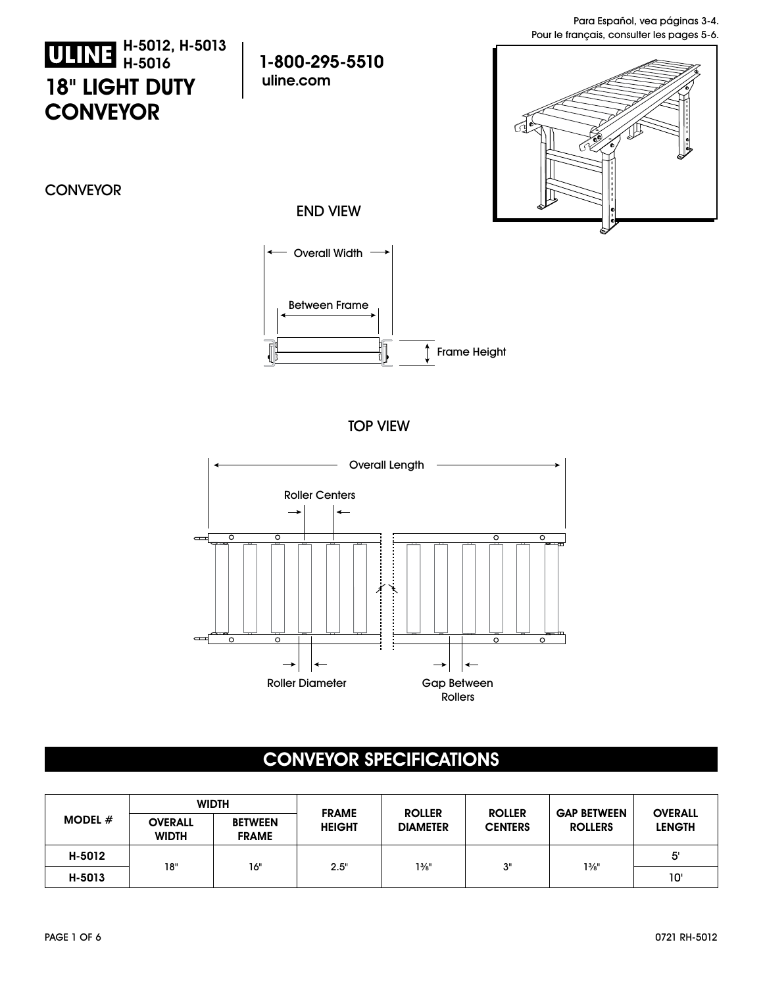## **18" LIGHT DUTY CONVEYOR H-5012, H-5013 H-5016**

**1-800-295-5510 uline.com**



**CONVEYOR** 





TOP VIEW



## **CONVEYOR SPECIFICATIONS**

| <b>MODEL</b> $#$ | <b>WIDTH</b>                   |                                |                               |                                  |                                 |                                      |                                 |
|------------------|--------------------------------|--------------------------------|-------------------------------|----------------------------------|---------------------------------|--------------------------------------|---------------------------------|
|                  | <b>OVERALL</b><br><b>WIDTH</b> | <b>BETWEEN</b><br><b>FRAME</b> | <b>FRAME</b><br><b>HEIGHT</b> | <b>ROLLER</b><br><b>DIAMETER</b> | <b>ROLLER</b><br><b>CENTERS</b> | <b>GAP BETWEEN</b><br><b>ROLLERS</b> | <b>OVERALL</b><br><b>LENGTH</b> |
| H-5012           |                                | 16"                            |                               |                                  | יים                             | $1\frac{3}{8}$ "                     | 5'                              |
| H-5013           | 18"                            |                                | 2.5"                          | $1\%$ "                          |                                 |                                      | י0ו                             |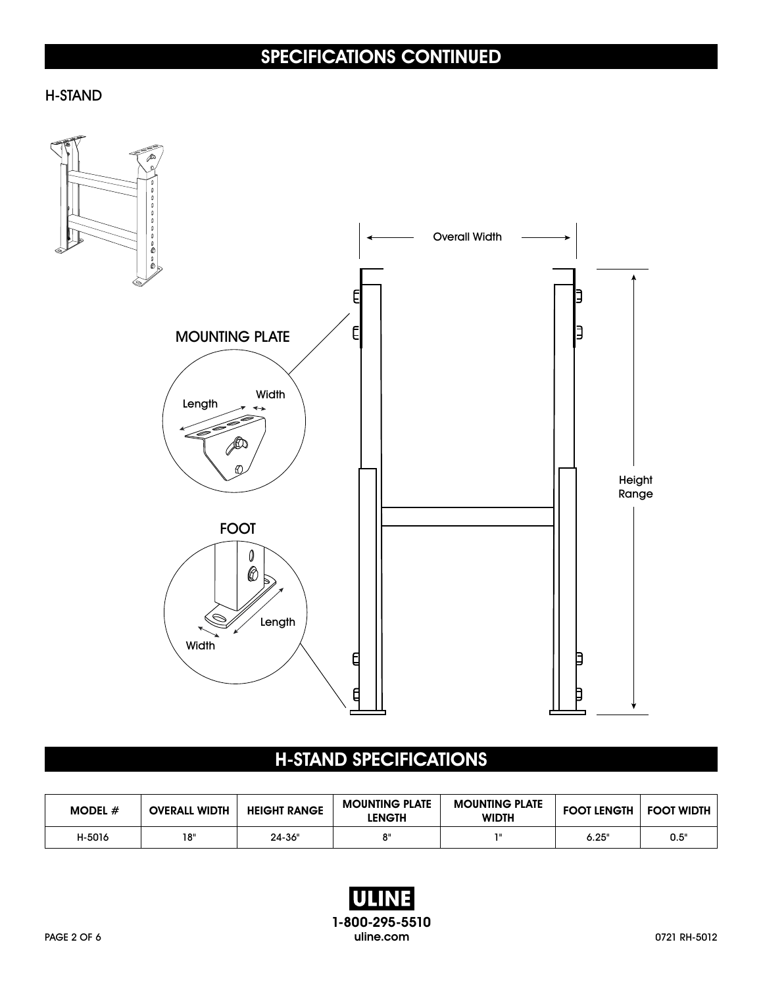# **SPECIFICATIONS CONTINUED**

#### H-STAND



## **H-STAND SPECIFICATIONS**

| MODEL $#$ | <b>OVERALL WIDTH</b> | <b>HEIGHT RANGE</b> | <b>MOUNTING PLATE</b><br><b>LENGTH</b> | <b>MOUNTING PLATE</b><br><b>WIDTH</b> | <b>FOOT LENGTH</b> | <b>FOOT WIDTH</b> |
|-----------|----------------------|---------------------|----------------------------------------|---------------------------------------|--------------------|-------------------|
| H-5016    | 18"                  | 24-36"              | o II                                   |                                       | 6.25"              | 0.5"              |

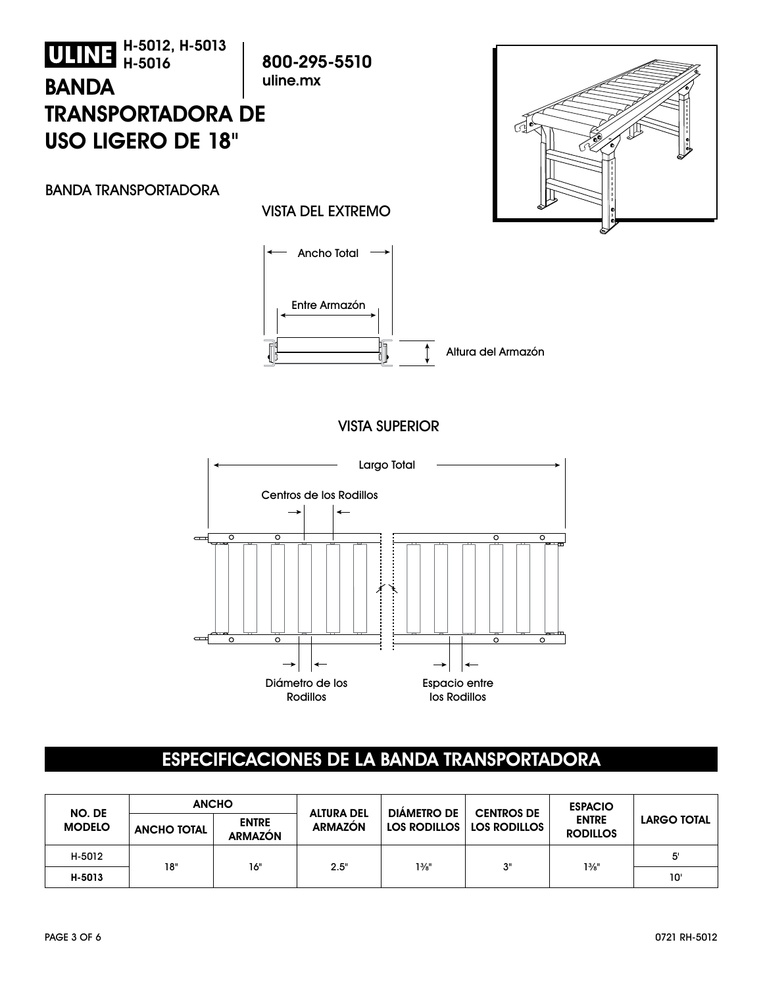

### **ESPECIFICACIONES DE LA BANDA TRANSPORTADORA**

| NO. DE<br><b>MODELO</b> | <b>ANCHO</b>       |                                |                                     | <b>DIÁMETRO DE</b> | <b>CENTROS DE</b>           | <b>ESPACIO</b>                  |                    |
|-------------------------|--------------------|--------------------------------|-------------------------------------|--------------------|-----------------------------|---------------------------------|--------------------|
|                         | <b>ANCHO TOTAL</b> | <b>ENTRE</b><br><b>ARMAZÓN</b> | <b>ALTURA DEL</b><br><b>ARMAZON</b> |                    | LOS RODILLOS   LOS RODILLOS | <b>ENTRE</b><br><b>RODILLOS</b> | <b>LARGO TOTAL</b> |
| H-5012                  |                    |                                |                                     |                    |                             |                                 | 5'                 |
| H-5013                  | 18"                | 16"                            | 2.5"                                | $1\frac{3}{8}$ "   | 3"                          | $1\frac{3}{8}$ "                | 10'                |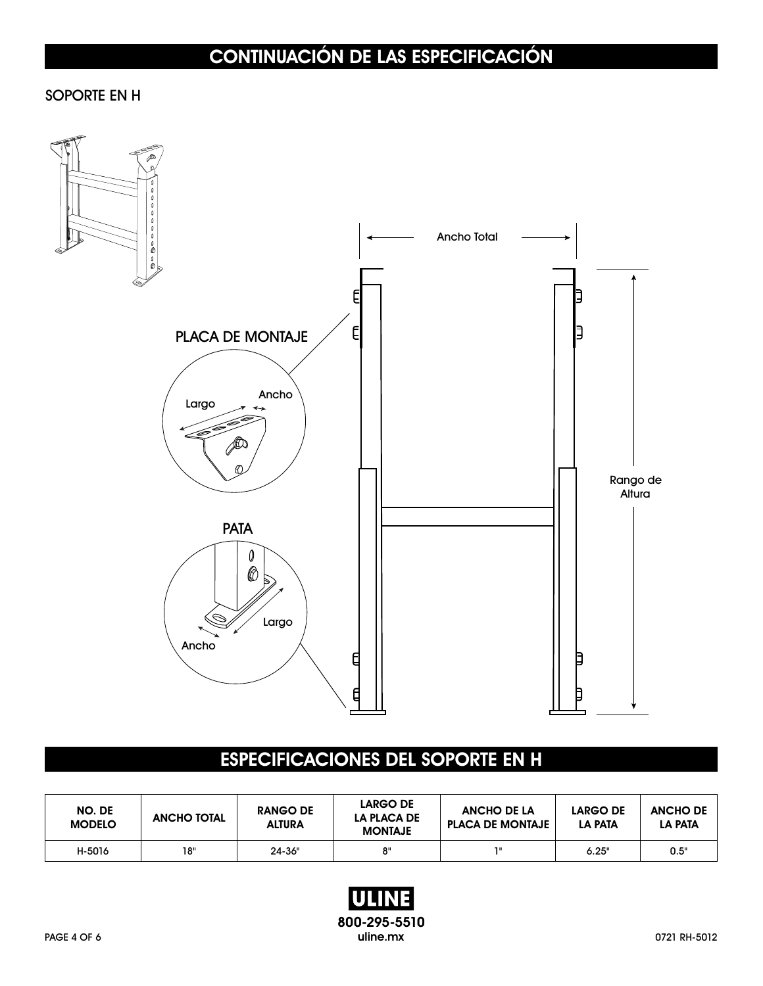# **CONTINUACIÓN DE LAS ESPECIFICACIÓN**

#### SOPORTE EN H



### **ESPECIFICACIONES DEL SOPORTE EN H**

| NO. DE<br><b>MODELO</b> | <b>ANCHO TOTAL</b> | <b>RANGO DE</b><br><b>ALTURA</b> | <b>LARGO DE</b><br>LA PLACA DE<br><b>MONTAJE</b> | <b>ANCHO DE LA</b><br><b>PLACA DE MONTAJE</b> | <b>LARGO DE</b><br><b>LA PATA</b> | <b>ANCHO DE</b><br><b>LA PATA</b> |
|-------------------------|--------------------|----------------------------------|--------------------------------------------------|-----------------------------------------------|-----------------------------------|-----------------------------------|
| H-5016                  | 18"                | $24 - 36"$                       | 8"                                               | 78                                            | 6.25"                             | 0.5"                              |

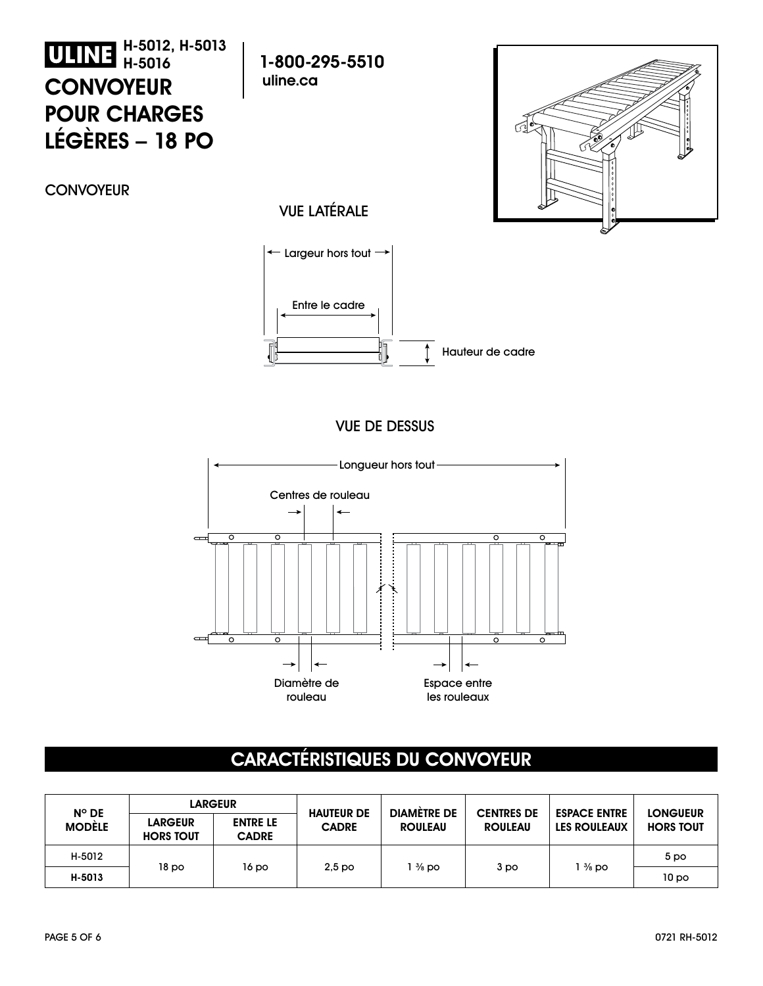## **H-5012, H-5013 H-5016 CONVOYEUR POUR CHARGES LÉGÈRES – 18 PO**

**1-800-295-5510 uline.ca**



**CONVOYEUR** 

### VUE LATÉRALE



#### VUE DE DESSUS



### **CARACTÉRISTIQUES DU CONVOYEUR**

| $N^{\circ}$ DE<br><b>MODÈLE</b> | <b>LARGEUR</b>                     |                                 |                                   | <b>DIAMETRE DE</b> |                                     |                                            | <b>LONGUEUR</b>  |
|---------------------------------|------------------------------------|---------------------------------|-----------------------------------|--------------------|-------------------------------------|--------------------------------------------|------------------|
|                                 | <b>LARGEUR</b><br><b>HORS TOUT</b> | <b>ENTRE LE</b><br><b>CADRE</b> | <b>HAUTEUR DE</b><br><b>CADRE</b> | <b>ROULEAU</b>     | <b>CENTRES DE</b><br><b>ROULEAU</b> | <b>ESPACE ENTRE</b><br><b>LES ROULEAUX</b> | <b>HORS TOUT</b> |
| H-5012                          |                                    |                                 |                                   |                    |                                     |                                            | 5 <sub>po</sub>  |
| H-5013                          | 18 po                              | 16 po                           | 2.5 <sub>po</sub>                 | $\frac{3}{8}$ po   | 3 po                                | 1 % po                                     | 10 <sub>po</sub> |